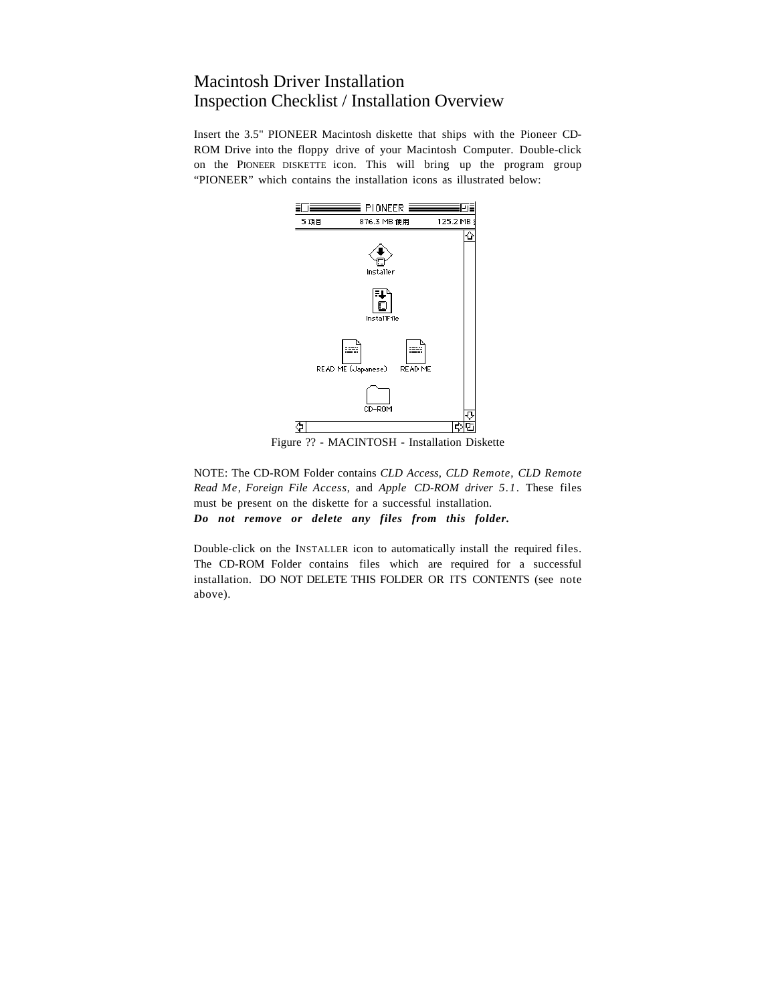# Macintosh Driver Installation Inspection Checklist / Installation Overview

Insert the 3.5" PIONEER Macintosh diskette that ships with the Pioneer CD-ROM Drive into the floppy drive of your Macintosh Computer. Double-click on the PIONEER DISKETTE icon. This will bring up the program group "PIONEER" which contains the installation icons as illustrated below:



Figure ?? - MACINTOSH - Installation Diskette

NOTE: The CD-ROM Folder contains *CLD Access*, *CLD Remote*, *CLD Remote Read Me*, *Foreign File Access*, and *Apple CD-ROM driver 5.1*. These files must be present on the diskette for a successful installation. *Do not remove or delete any files from this folder.*

Double-click on the INSTALLER icon to automatically install the required files. The CD-ROM Folder contains files which are required for a successful installation. DO NOT DELETE THIS FOLDER OR ITS CONTENTS (see note above).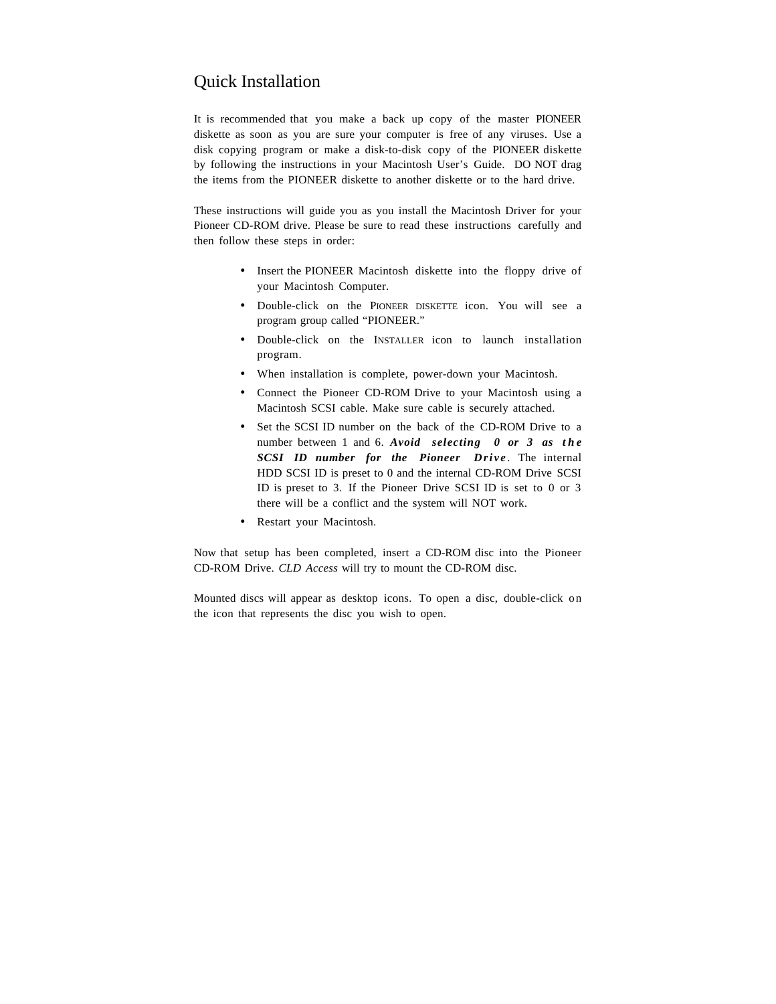# Quick Installation

It is recommended that you make a back up copy of the master PIONEER diskette as soon as you are sure your computer is free of any viruses. Use a disk copying program or make a disk-to-disk copy of the PIONEER diskette by following the instructions in your Macintosh User's Guide. DO NOT drag the items from the PIONEER diskette to another diskette or to the hard drive.

These instructions will guide you as you install the Macintosh Driver for your Pioneer CD-ROM drive. Please be sure to read these instructions carefully and then follow these steps in order:

- Insert the PIONEER Macintosh diskette into the floppy drive of your Macintosh Computer.
- Double-click on the PIONEER DISKETTE icon. You will see a program group called "PIONEER."
- Double-click on the INSTALLER icon to launch installation program.
- When installation is complete, power-down your Macintosh.
- Connect the Pioneer CD-ROM Drive to your Macintosh using a Macintosh SCSI cable. Make sure cable is securely attached.
- Set the SCSI ID number on the back of the CD-ROM Drive to a number between 1 and 6. *Avoid selecting 0 or 3 as the SCSI ID number for the Pioneer Drive* . The internal HDD SCSI ID is preset to 0 and the internal CD-ROM Drive SCSI ID is preset to 3. If the Pioneer Drive SCSI ID is set to 0 or 3 there will be a conflict and the system will NOT work.
- Restart your Macintosh.

Now that setup has been completed, insert a CD-ROM disc into the Pioneer CD-ROM Drive. *CLD Access* will try to mount the CD-ROM disc.

Mounted discs will appear as desktop icons. To open a disc, double-click on the icon that represents the disc you wish to open.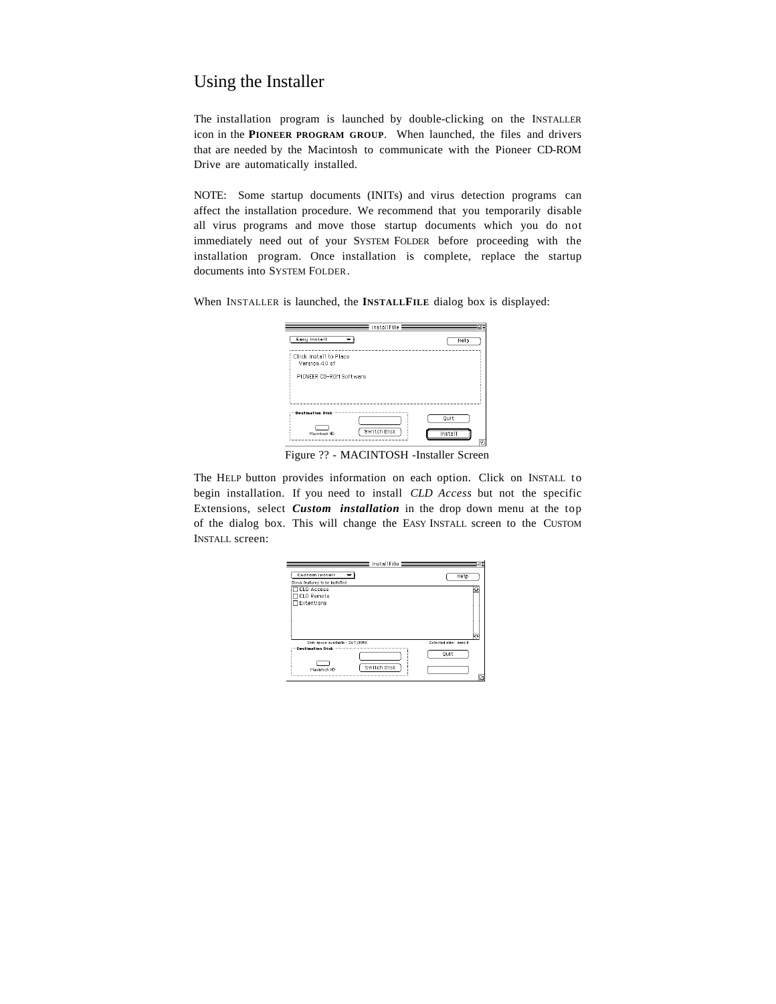## Using the Installer

The installation program is launched by double-clicking on the INSTALLER icon in the **PIONEER PROGRAM GROUP**. When launched, the files and drivers that are needed by the Macintosh to communicate with the Pioneer CD-ROM Drive are automatically installed.

NOTE: Some startup documents (INITs) and virus detection programs can affect the installation procedure. We recommend that you temporarily disable all virus programs and move those startup documents which you do not immediately need out of your SYSTEM FOLDER before proceeding with the installation program. Once installation is complete, replace the startup documents into SYSTEM FOLDER.

When INSTALLER is launched, the **INSTALLFILE** dialog box is displayed:

| Eesy install                            | Help |
|-----------------------------------------|------|
| Click Install to Place<br>Version 40 of |      |
| PIONEER CD-ROM Software                 |      |
|                                         |      |
|                                         |      |
|                                         |      |
|                                         | Ouit |

Figure ?? - MACINTOSH -Installer Screen

The HELP button provides information on each option. Click on INSTALL to begin installation. If you need to install *CLD Access* but not the specific Extensions, select *Custom installation* in the drop down menu at the top of the dialog box. This will change the EASY INSTALL screen to the CUSTOM INSTALL screen:

| InstallFile ≣                                                 |                                    |
|---------------------------------------------------------------|------------------------------------|
| <b>Custom Install</b><br>Check features to be installed       | Help                               |
| CLD Access<br><b>TCLD Remote</b><br>Extentions                |                                    |
| Disk space available: 267,095K<br>Switch Disk<br>Macintosh HD | Selected size: zero K<br>Ouit<br>ø |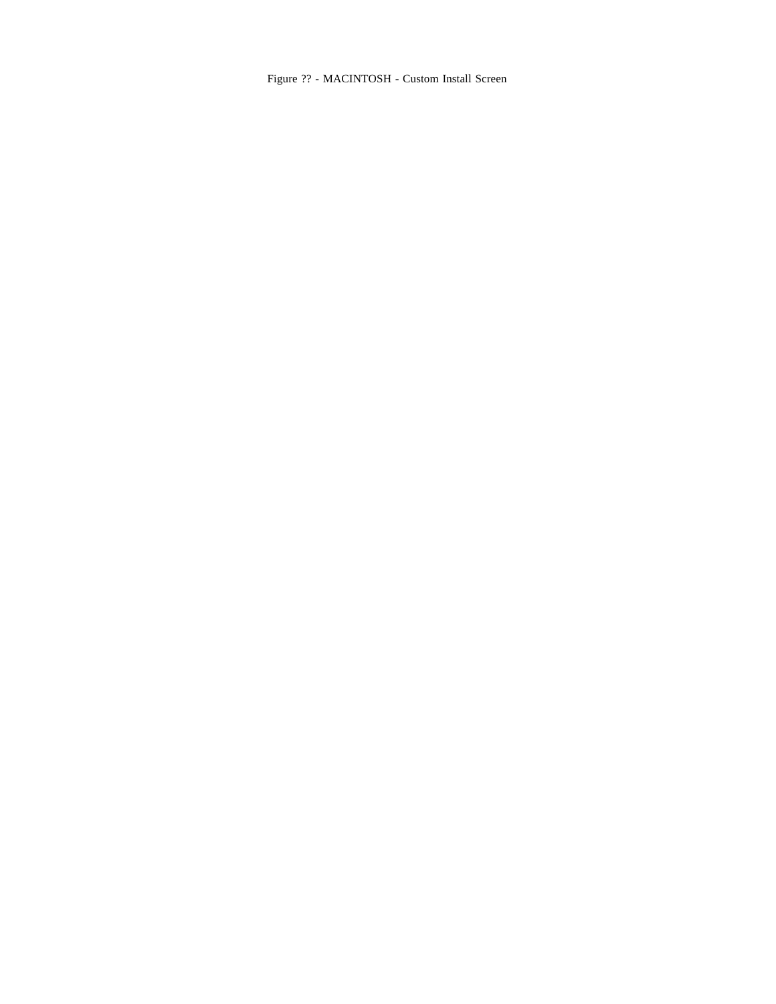Figure ?? - MACINTOSH - Custom Install Screen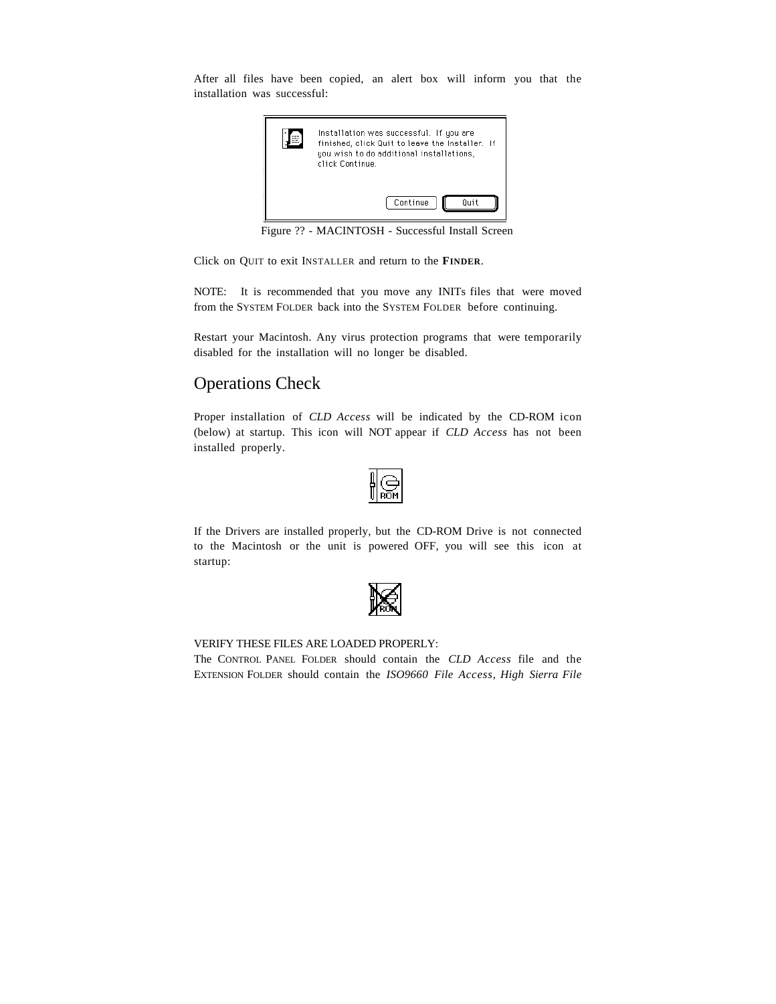After all files have been copied, an alert box will inform you that the installation was successful:



Figure ?? - MACINTOSH - Successful Install Screen

Click on QUIT to exit INSTALLER and return to the **FINDER**.

NOTE: It is recommended that you move any INITs files that were moved from the SYSTEM FOLDER back into the SYSTEM FOLDER before continuing.

Restart your Macintosh. Any virus protection programs that were temporarily disabled for the installation will no longer be disabled.

## Operations Check

Proper installation of *CLD Access* will be indicated by the CD-ROM icon (below) at startup. This icon will NOT appear if *CLD Access* has not been installed properly.

|--|--|

If the Drivers are installed properly, but the CD-ROM Drive is not connected to the Macintosh or the unit is powered OFF, you will see this icon at startup:



#### VERIFY THESE FILES ARE LOADED PROPERLY:

The CONTROL PANEL FOLDER should contain the *CLD Access* file and the EXTENSION FOLDER should contain the *ISO9660 File Access*, *High Sierra File*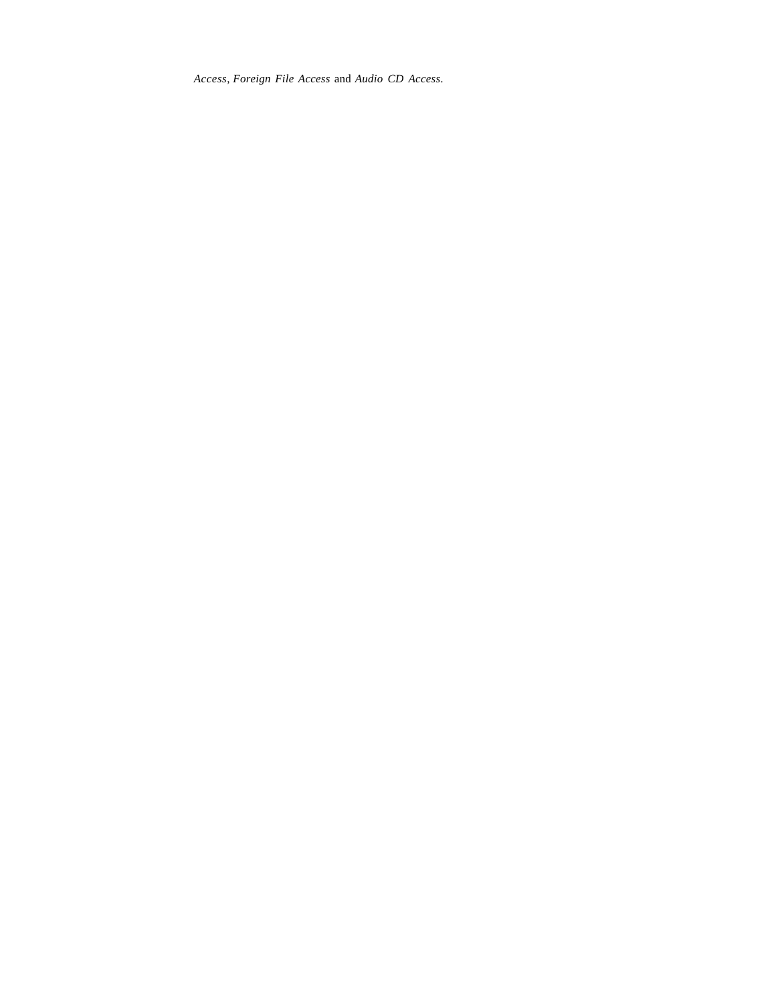*Access*, *Foreign File Access* and *Audio CD Access*.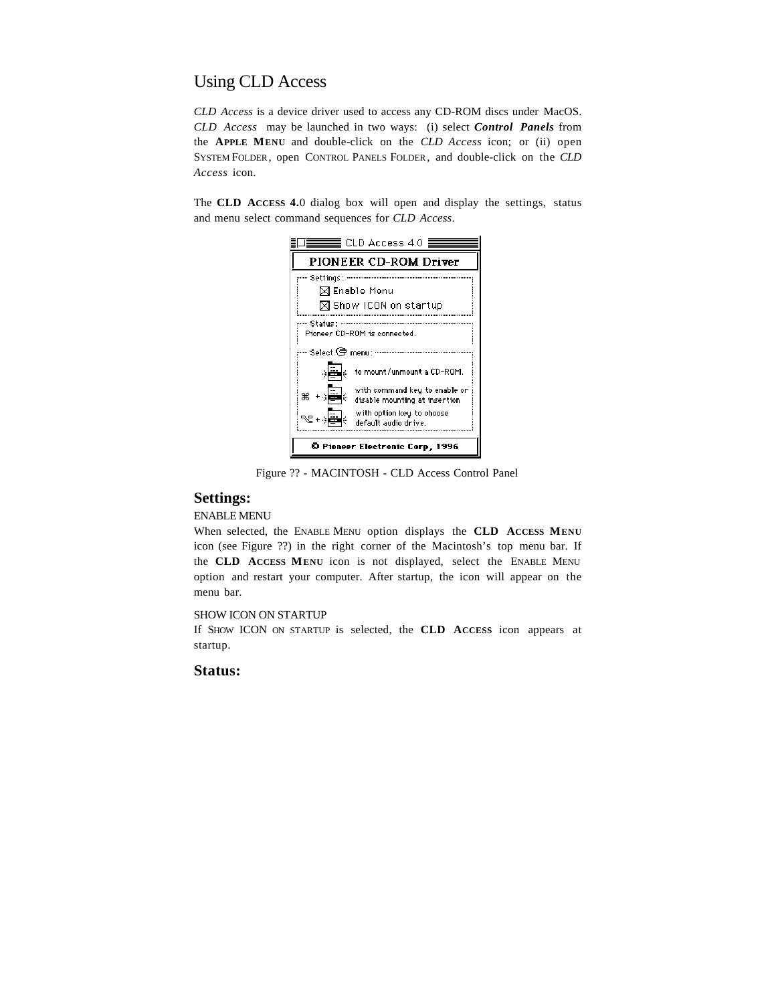# Using CLD Access

*CLD Access* is a device driver used to access any CD-ROM discs under MacOS. *CLD Access* may be launched in two ways: (i) select *Control Panels* from the **APPLE MENU** and double-click on the *CLD Access* icon; or (ii) open SYSTEM FOLDER, open CONTROL PANELS FOLDER, and double-click on the *CLD Access* icon.

The **CLD ACCESS 4.**0 dialog box will open and display the settings, status and menu select command sequences for *CLD Access*.

| CLD Access 4.0 $\equiv$                                                                 |  |  |
|-----------------------------------------------------------------------------------------|--|--|
| PIONEER CD-ROM Driver                                                                   |  |  |
| … Settings :                                                                            |  |  |
| $\boxtimes$ Enable Menu                                                                 |  |  |
| ⊠ Show ICON on startup                                                                  |  |  |
| --- Status :                                                                            |  |  |
| Pioneer CD-ROM is connected.                                                            |  |  |
| Select @ menu:                                                                          |  |  |
| ∢ا≣ا⊹<br>to mount/unmount a CD-ROM.                                                     |  |  |
| with command key to enable or<br>ж +∍ <mark>≣</mark> ⊹<br>disable mounting at insertion |  |  |
| with option key to choose<br>default audio drive.                                       |  |  |
| © Pioneer Electronic Corp, 1996                                                         |  |  |

Figure ?? - MACINTOSH - CLD Access Control Panel

### **Settings:**

#### ENABLE MENU

When selected, the ENABLE MENU option displays the **CLD ACCESS MENU** icon (see Figure ??) in the right corner of the Macintosh's top menu bar. If the **CLD ACCESS MENU** icon is not displayed, select the ENABLE MENU option and restart your computer. After startup, the icon will appear on the menu bar.

#### SHOW ICON ON STARTUP

If SHOW ICON ON STARTUP is selected, the **CLD ACCESS** icon appears at startup.

### **Status:**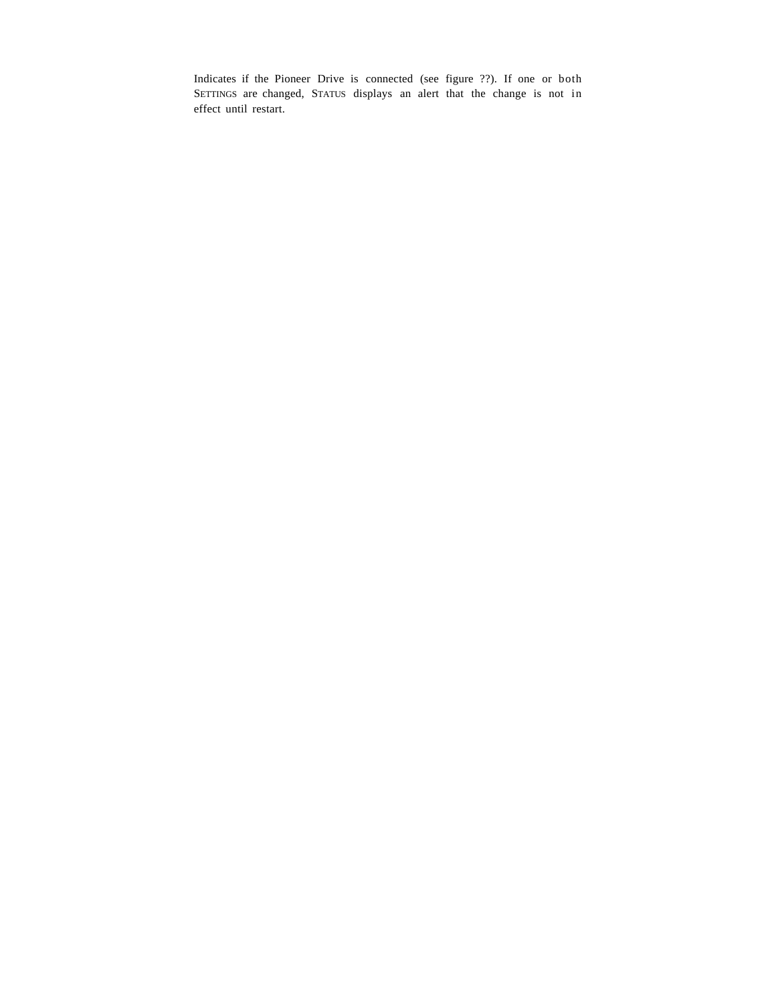Indicates if the Pioneer Drive is connected (see figure ??). If one or both SETTINGS are changed, STATUS displays an alert that the change is not in effect until restart.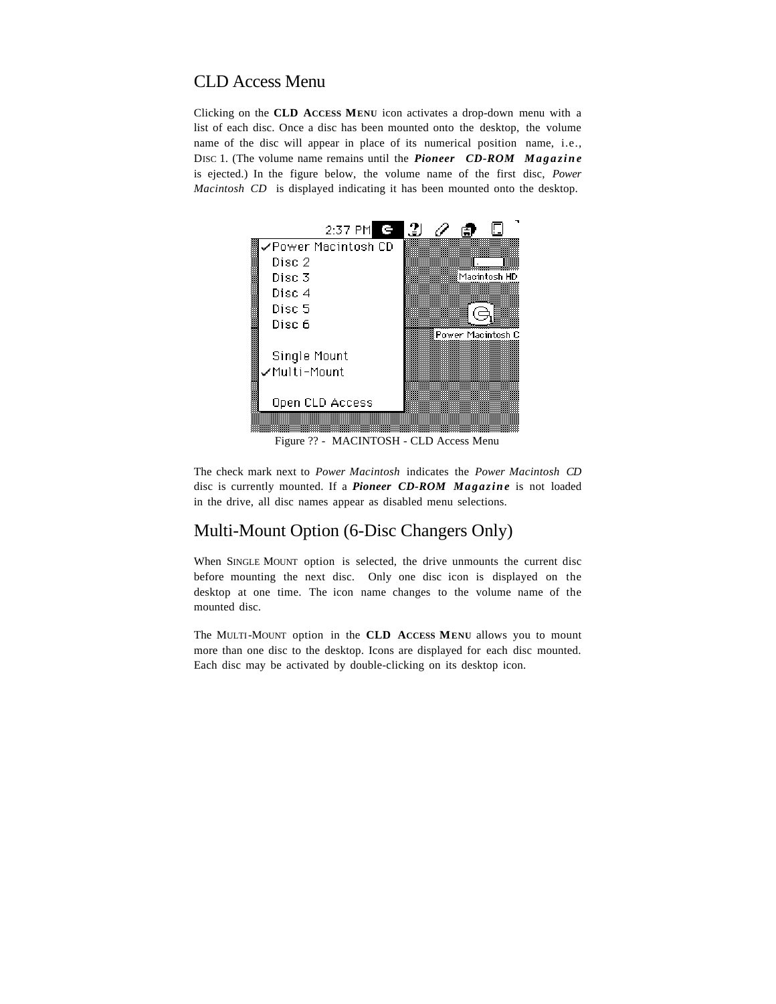### CLD Access Menu

Clicking on the **CLD ACCESS MENU** icon activates a drop-down menu with a list of each disc. Once a disc has been mounted onto the desktop, the volume name of the disc will appear in place of its numerical position name, i.e., DISC 1. (The volume name remains until the *Pioneer CD-ROM Magazine* is ejected.) In the figure below, the volume name of the first disc, *Power Macintosh CD* is displayed indicating it has been mounted onto the desktop.



Figure ?? - MACINTOSH - CLD Access Menu

The check mark next to *Power Macintosh* indicates the *Power Macintosh CD* disc is currently mounted. If a *Pioneer CD-ROM Magazine* is not loaded in the drive, all disc names appear as disabled menu selections.

### Multi-Mount Option (6-Disc Changers Only)

When SINGLE MOUNT option is selected, the drive unmounts the current disc before mounting the next disc. Only one disc icon is displayed on the desktop at one time. The icon name changes to the volume name of the mounted disc.

The MULTI-MOUNT option in the **CLD ACCESS MENU** allows you to mount more than one disc to the desktop. Icons are displayed for each disc mounted. Each disc may be activated by double-clicking on its desktop icon.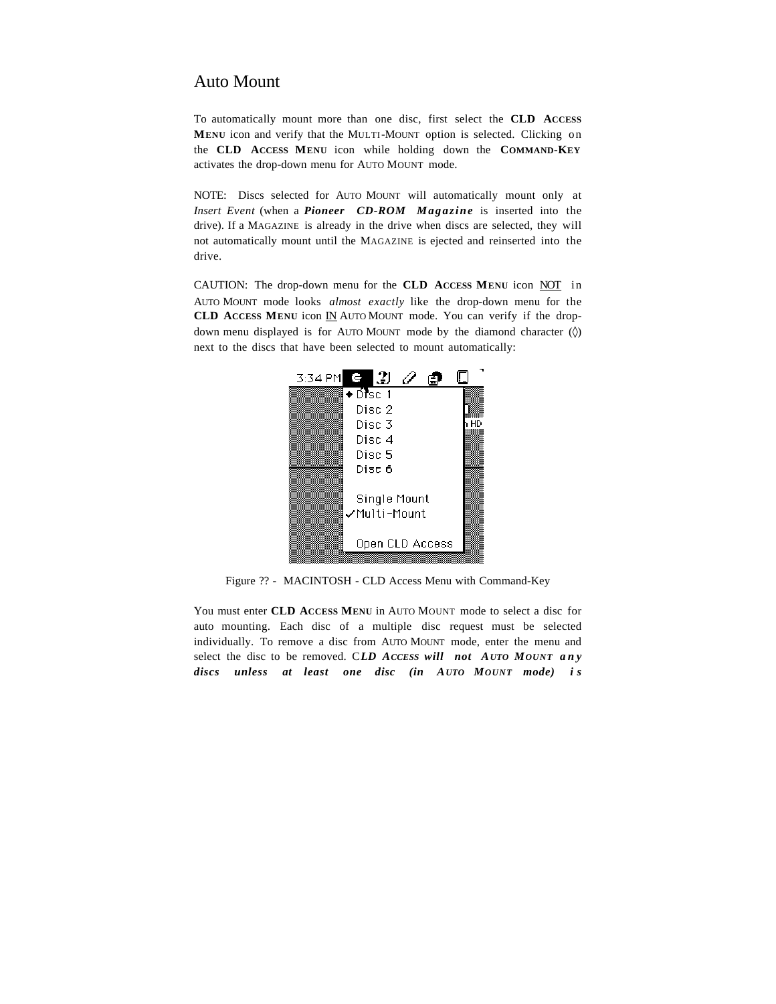### Auto Mount

To automatically mount more than one disc, first select the **CLD ACCESS MENU** icon and verify that the MULTI-MOUNT option is selected. Clicking on the **CLD ACCESS MENU** icon while holding down the **COMMAND-KEY** activates the drop-down menu for AUTO MOUNT mode.

NOTE: Discs selected for AUTO MOUNT will automatically mount only at *Insert Event* (when a *Pioneer CD-ROM Magazine* is inserted into the drive). If a MAGAZINE is already in the drive when discs are selected, they will not automatically mount until the MAGAZINE is ejected and reinserted into the drive.

CAUTION: The drop-down menu for the **CLD ACCESS MENU** icon NOT in AUTO MOUNT mode looks *almost exactly* like the drop-down menu for the **CLD ACCESS MENU** icon **IN** AUTO MOUNT mode. You can verify if the dropdown menu displayed is for AUTO MOUNT mode by the diamond character  $(\Diamond)$ next to the discs that have been selected to mount automatically:



Figure ?? - MACINTOSH - CLD Access Menu with Command-Key

You must enter **CLD ACCESS MENU** in AUTO MOUNT mode to select a disc for auto mounting. Each disc of a multiple disc request must be selected individually. To remove a disc from AUTO MOUNT mode, enter the menu and select the disc to be removed. C*LD ACCESS will not AUTO MOUNT any discs unless at least one disc (in AUTO MOUNT mode) i s*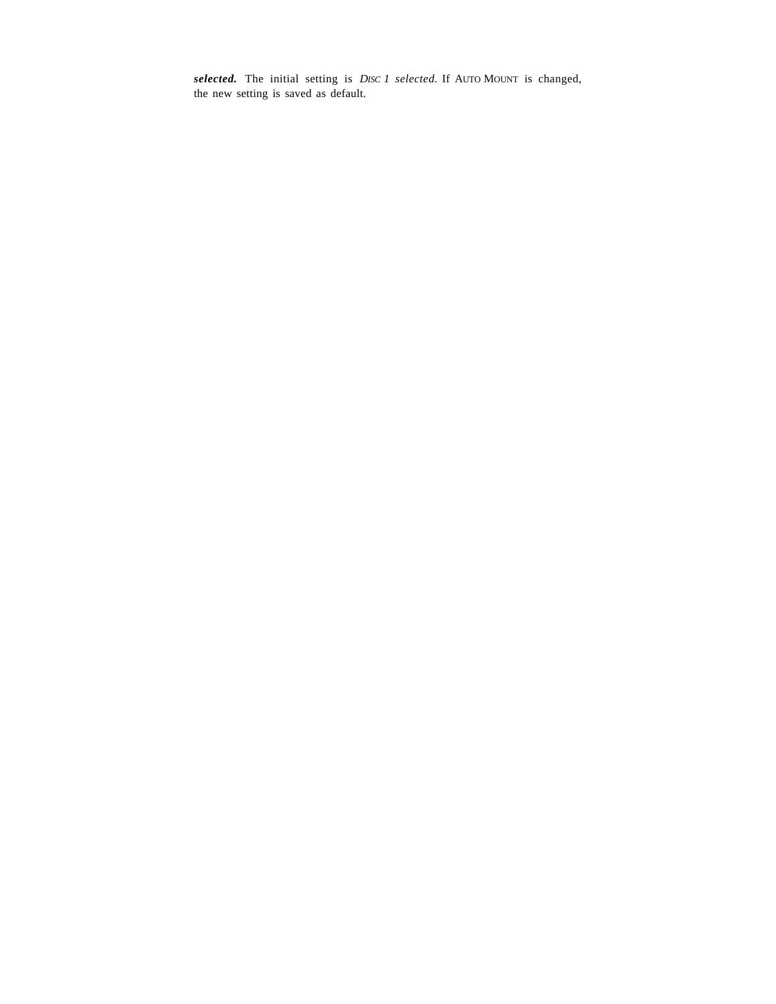*selected.* The initial setting is *DISC 1 selected.* If AUTO MOUNT is changed, the new setting is saved as default.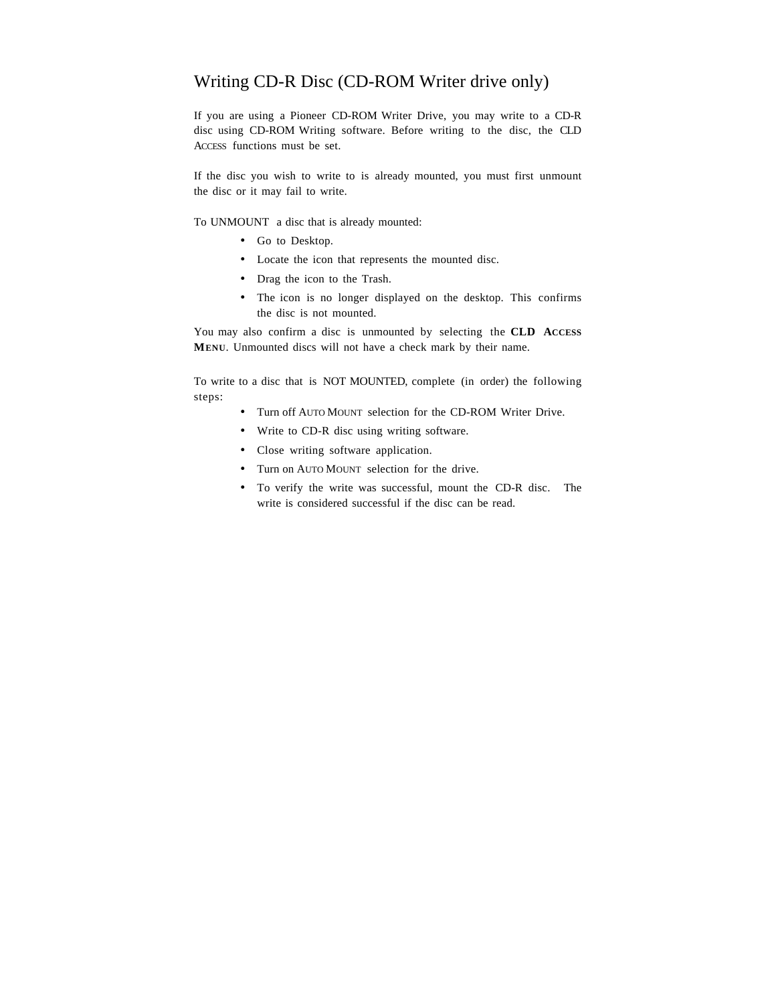## Writing CD-R Disc (CD-ROM Writer drive only)

If you are using a Pioneer CD-ROM Writer Drive, you may write to a CD-R disc using CD-ROM Writing software. Before writing to the disc, the CLD ACCESS functions must be set.

If the disc you wish to write to is already mounted, you must first unmount the disc or it may fail to write.

To UNMOUNT a disc that is already mounted:

- Go to Desktop.
- Locate the icon that represents the mounted disc.
- Drag the icon to the Trash.
- The icon is no longer displayed on the desktop. This confirms the disc is not mounted.

You may also confirm a disc is unmounted by selecting the **CLD ACCESS MENU**. Unmounted discs will not have a check mark by their name.

To write to a disc that is NOT MOUNTED, complete (in order) the following steps:

- Turn off AUTO MOUNT selection for the CD-ROM Writer Drive.
- Write to CD-R disc using writing software.
- Close writing software application.
- Turn on AUTO MOUNT selection for the drive.
- To verify the write was successful, mount the CD-R disc. The write is considered successful if the disc can be read.